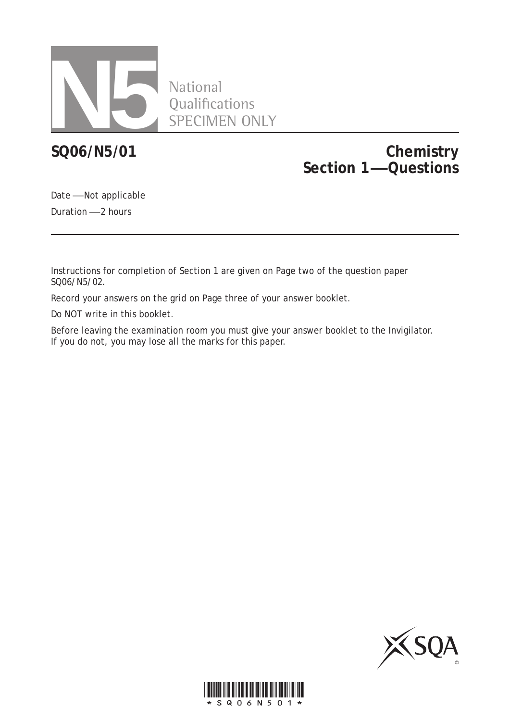

**National** Qualifications SPECIMEN ONLY

**SQ06/N5/01 Chemistry Section 1—Questions**

Date — Not applicable Duration —2 hours

Instructions for completion of Section 1 are given on Page two of the question paper SQ06/N5/02.

Record your answers on the grid on Page three of your answer booklet.

Do NOT write in this booklet.

Before leaving the examination room you must give your answer booklet to the Invigilator. If you do not, you may lose all the marks for this paper.



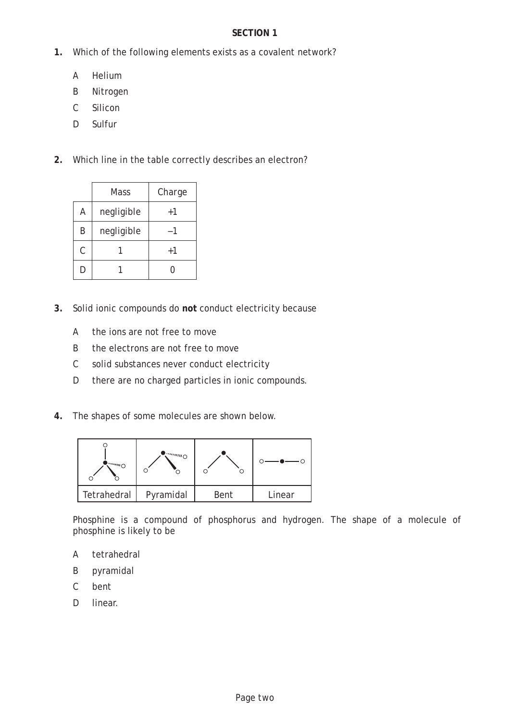#### **SECTION 1**

- **1.** Which of the following elements exists as a covalent network?
	- A Helium
	- B Nitrogen
	- C Silicon
	- D Sulfur
- **2.** Which line in the table correctly describes an electron?

|   | Mass       | Charge |
|---|------------|--------|
| Α | negligible | $+1$   |
| Β | negligible | $-1$   |
| C |            | +1     |
| D |            |        |

- **3.** Solid ionic compounds do **not** conduct electricity because
	- A the ions are not free to move
	- B the electrons are not free to move
	- C solid substances never conduct electricity
	- D there are no charged particles in ionic compounds.
- **4.** The shapes of some molecules are shown below.



Phosphine is a compound of phosphorus and hydrogen. The shape of a molecule of phosphine is likely to be

- A tetrahedral
- B pyramidal
- C bent
- D linear.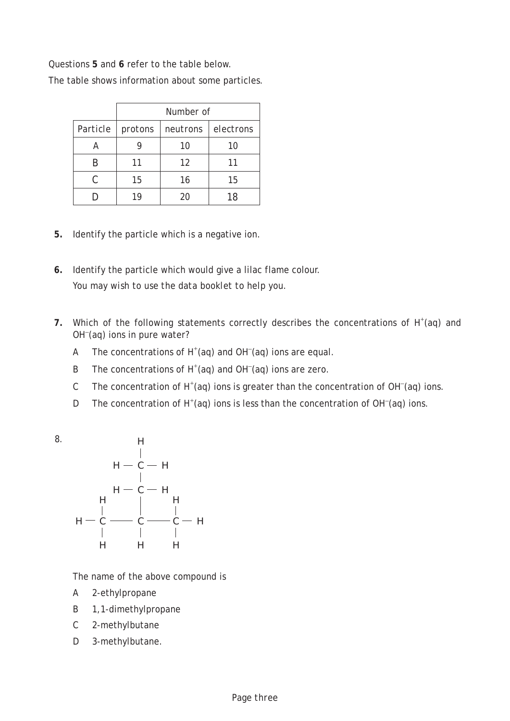Questions **5** and **6** refer to the table below.

|                    | Number of |                    |    |  |  |  |
|--------------------|-----------|--------------------|----|--|--|--|
| Particle   protons |           | neutrons electrons |    |  |  |  |
|                    |           | 10                 | 10 |  |  |  |
| R                  | 11        | 12                 | 11 |  |  |  |
| C                  | 15        | 16                 | 15 |  |  |  |
|                    | 19        | 20                 | 18 |  |  |  |

The table shows information about some particles.

- **5.** Identify the particle which is a negative ion.
- **6.** Identify the particle which would give a lilac flame colour. *You may wish to use the data booklet to help you.*
- 7. Which of the following statements correctly describes the concentrations of H<sup>+</sup>(aq) and OH<sup>-</sup>(aq) ions in pure water?
	- A The concentrations of  $H^+(aq)$  and OH $^-(aq)$  ions are equal.
	- B The concentrations of  $H^+(aq)$  and OH<sup>-</sup>(aq) ions are zero.
	- C The concentration of  $H^+(aq)$  ions is greater than the concentration of OH $^-(aq)$  ions.
	- D The concentration of  $H^+(aq)$  ions is less than the concentration of OH $^-(aq)$  ions.





The name of the above compound is

- A 2-ethylpropane
- B 1,1-dimethylpropane
- C 2-methylbutane
- D 3-methylbutane.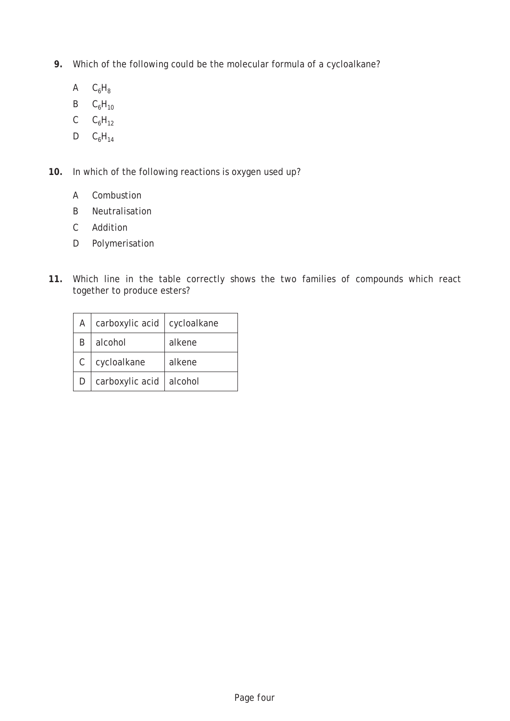- **9.** Which of the following could be the molecular formula of a cycloalkane?
	- $A$   $C_6H_8$
	- $B$   $C_6H_{10}$
	- C  $C_6H_{12}$
	- $D$   $C_6H_{14}$
- **10.** In which of the following reactions is oxygen used up?
	- A Combustion
	- B Neutralisation
	- C Addition
	- D Polymerisation
- **11.** Which line in the table correctly shows the two families of compounds which react together to produce esters?

| A | carboxylic acid   cycloalkane |        |
|---|-------------------------------|--------|
| B | alcohol                       | alkene |
| C | cycloalkane                   | alkene |
| D | carboxylic acid   alcohol     |        |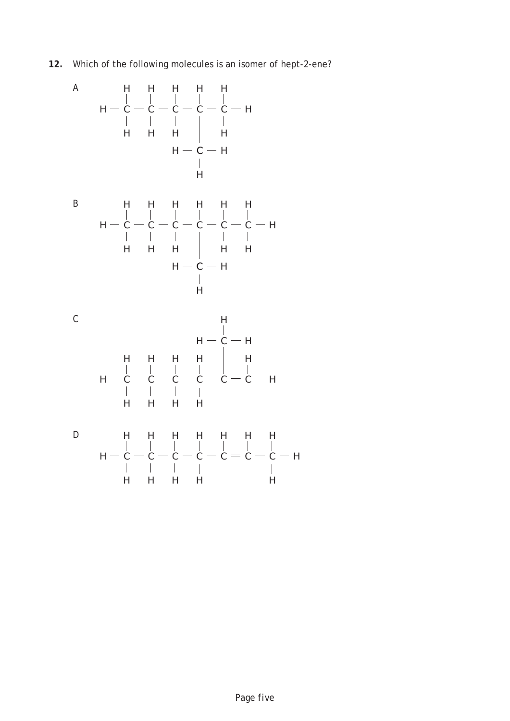**12.** Which of the following molecules is an isomer of hept-2-ene?

$$
A \t H \t H \t H \t H \t H
$$
\n
$$
H - C \t - C \t - C \t - C \t - C \t - H
$$
\n
$$
H \t H \t H \t H \t H
$$
\n
$$
H - C \t - H
$$
\n
$$
H
$$

B

CH H H C H H C H H C H C H HCH C H H C H H H

 $\mathsf{C}$ 

$$
\begin{array}{cccc}\nH & H & H & H \\
H & H & H & H \\
H & H & H & H \\
H & H & H & H \\
H & H & H & H \\
H & H & H & H \\
H & H & H & H \\
H & H & H & H\n\end{array}
$$

 $\mathsf{D}$ 

$$
H - C - C - C - C - C = C - C - H
$$
\n
$$
H - C - C - C - C - C = C - C - H
$$
\n
$$
H - C - C - C - C - C = C - C - H
$$
\n
$$
H - C - C - C - C = C - C - H
$$
\n
$$
H - C - C - C - C = C - C - H
$$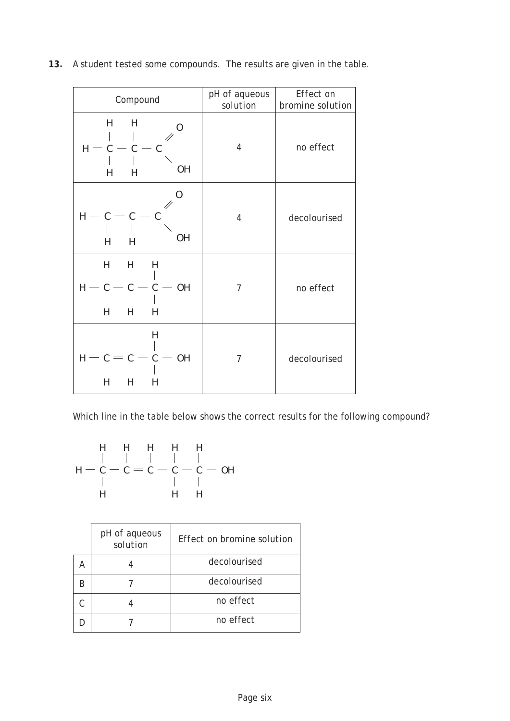| Compound                                                      | pH of aqueous<br>solution | Effect on<br>bromine solution |
|---------------------------------------------------------------|---------------------------|-------------------------------|
| Н<br>H<br>$H - C - C - C$<br><b>OH</b><br>$\overline{H}$<br>H | $\overline{4}$            | no effect                     |
| $H - C = C - C$<br><b>OH</b><br>H<br>H                        | $\overline{4}$            | decolourised                  |
| H<br>H<br>H<br>$H - C - C - C - O$ H<br>H<br>H<br>H           | 7                         | no effect                     |
| Н<br>$H - C = C - C - OH$<br>Н<br>Н<br>Н                      | 7                         | decolourised                  |

 **13.** A student tested some compounds. The results are given in the table.

Which line in the table below shows the correct results for the following compound?

$$
H H H H H H H H
$$
\n
$$
H - C - C = C - C - C - OH
$$
\n
$$
H H H H H H
$$
\n
$$
H H H H H
$$

| pH of aqueous<br>solution | Effect on bromine solution |
|---------------------------|----------------------------|
|                           | decolourised               |
|                           | decolourised               |
|                           | no effect                  |
|                           | no effect                  |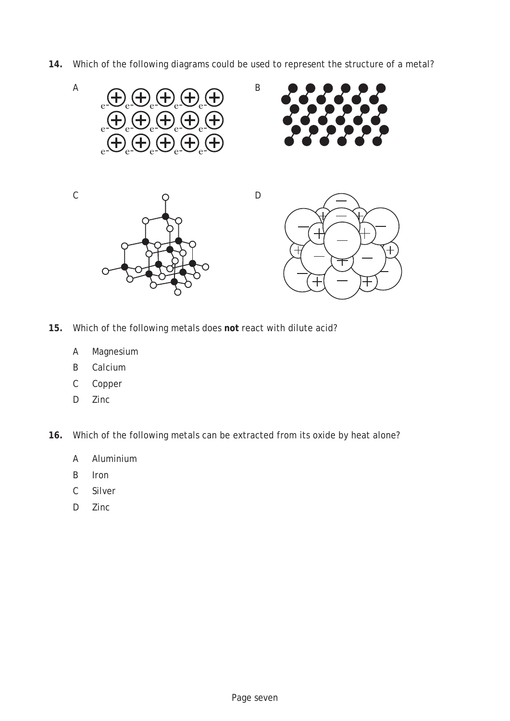**14.** Which of the following diagrams could be used to represent the structure of a metal?



- **15.** Which of the following metals does **not** react with dilute acid?
	- A Magnesium
	- B Calcium
	- C Copper
	- D Zinc
- **16.** Which of the following metals can be extracted from its oxide by heat alone?
	- A Aluminium
	- B Iron
	- C Silver
	- D Zinc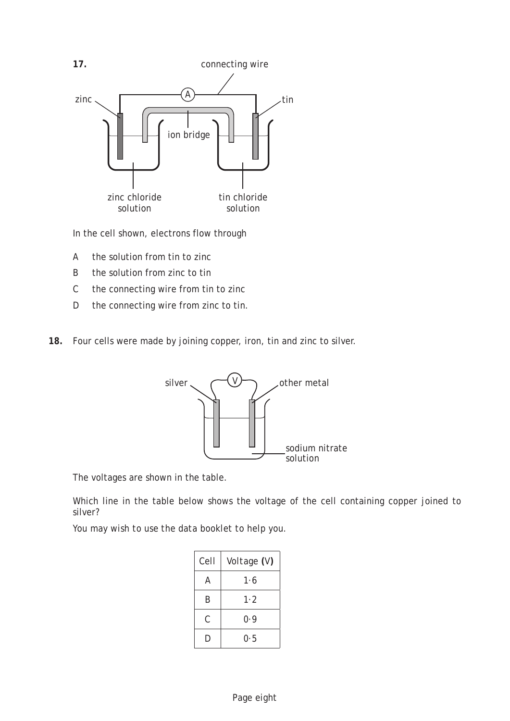

In the cell shown, electrons flow through

- A the solution from tin to zinc
- B the solution from zinc to tin
- C the connecting wire from tin to zinc
- D the connecting wire from zinc to tin.
- **18.** Four cells were made by joining copper, iron, tin and zinc to silver.



The voltages are shown in the table.

Which line in the table below shows the voltage of the cell containing copper joined to silver?

*You may wish to use the data booklet to help you.*

| Cell | Voltage (V) |
|------|-------------|
| Α    | 1.6         |
| R    | 1.2         |
| C    | 0.9         |
| IJ   | 0.5         |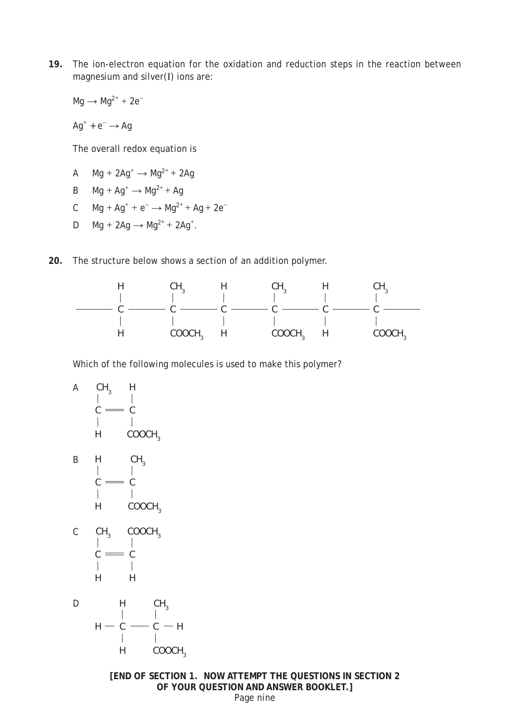**19.** The ion-electron equation for the oxidation and reduction steps in the reaction between magnesium and silver(I) ions are:

$$
Mg \rightarrow Mg^{2+} + 2e^-
$$

$$
Ag^+ + e^- \rightarrow Ag
$$

The overall redox equation is

$$
A \qquad Mg + 2Ag^+ \rightarrow Mg^{2+} + 2Ag
$$

- B  $Mg + Ag^+ \rightarrow Mg^{2+} + Ag$
- C  $Mg + Ag^+ + e^- \rightarrow Mg^{2+} + Ag + 2e^-$
- D Mg + 2Ag  $\rightarrow$  Mg<sup>2+</sup> + 2Ag<sup>+</sup>.
- **20.** The structure below shows a section of an addition polymer.



Which of the following molecules is used to make this polymer?

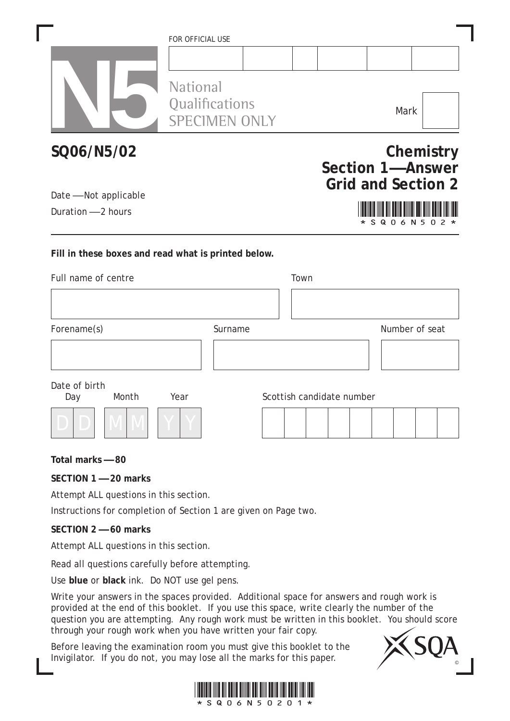|                                                                            | FOR OFFICIAL USE                                          |      |                               |                           |      |  |
|----------------------------------------------------------------------------|-----------------------------------------------------------|------|-------------------------------|---------------------------|------|--|
|                                                                            | <b>National</b><br>Qualifications<br><b>SPECIMEN ONLY</b> |      |                               |                           | Mark |  |
| SQ06/N5/02<br>Date - Not applicable                                        |                                                           |      | Chemistry<br>Section 1-Answer | <b>Grid and Section 2</b> |      |  |
| Duration - 2 hours                                                         |                                                           |      |                               |                           |      |  |
|                                                                            |                                                           |      |                               | Q 0 6<br><sub>S</sub>     | - N  |  |
| Fill in these boxes and read what is printed below.<br>Full name of centre |                                                           | Town |                               |                           |      |  |
| Forename(s)                                                                | Surname                                                   |      |                               | Number of seat            |      |  |
|                                                                            |                                                           |      |                               |                           |      |  |
| Date of birth<br>Month<br>Day                                              | Year                                                      |      | Scottish candidate number     |                           |      |  |
|                                                                            |                                                           |      |                               |                           |      |  |
| Total marks - 80                                                           |                                                           |      |                               |                           |      |  |
| SECTION 1-20 marks                                                         |                                                           |      |                               |                           |      |  |
|                                                                            |                                                           |      |                               |                           |      |  |

Attempt ALL questions in this section.

Instructions for completion of Section 1 are given on Page two.

**SECTION 2 —60 marks**

Attempt ALL questions in this section.

Read all questions carefully before attempting.

Use **blue** or **black** ink. Do NOT use gel pens.

Write your answers in the spaces provided. Additional space for answers and rough work is provided at the end of this booklet. If you use this space, write clearly the number of the question you are attempting. Any rough work must be written in this booklet. You should score through your rough work when you have written your fair copy.

Before leaving the examination room you must give this booklet to the Invigilator. If you do not, you may lose all the marks for this paper.



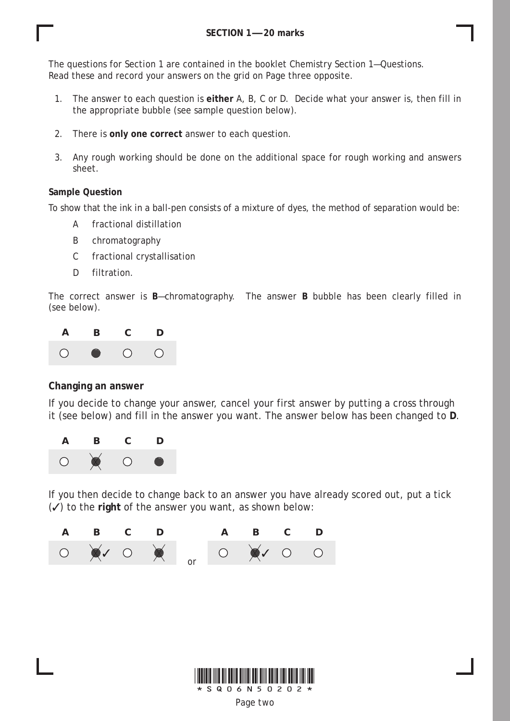The questions for Section 1 are contained in the booklet Chemistry Section 1—Questions. Read these and record your answers on the grid on Page three opposite.

- 1. The answer to each question is **either** A, B, C or D. Decide what your answer is, then fill in the appropriate bubble (see sample question below).
- 2. There is **only one correct** answer to each question.
- 3. Any rough working should be done on the additional space for rough working and answers sheet.

#### **Sample Question**

To show that the ink in a ball-pen consists of a mixture of dyes, the method of separation would be:

- A fractional distillation
- B chromatography
- C fractional crystallisation
- D filtration

The correct answer is **B**—chromatography. The answer **B** bubble has been clearly filled in (see below).



#### **Changing an answer**

If you decide to change your answer, cancel your first answer by putting a cross through it (see below) and fill in the answer you want. The answer below has been changed to **D**.



If you then decide to change back to an answer you have already scored out, put a tick (3) to the **right** of the answer you want, as shown below:





*Page two*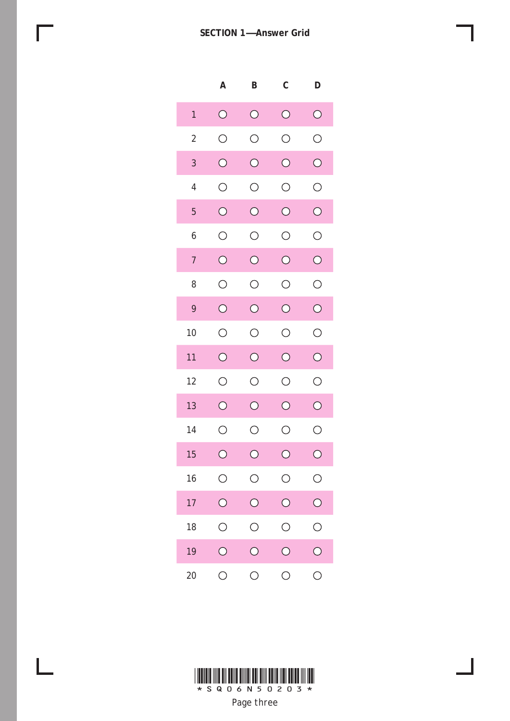



*Page three*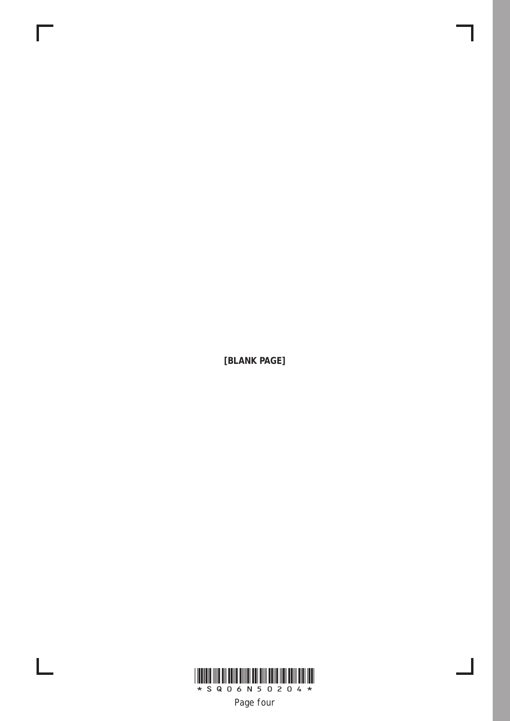**[BLANK PAGE]**

Ш

L



 $\mathbb{R}^2$ 

*Page four*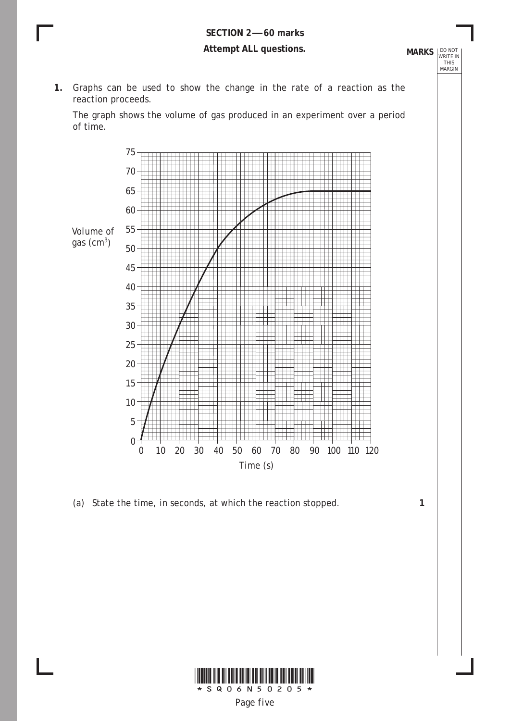#### SECTION 2-60 marks

#### **Attempt ALL questions.**

 **1.** Graphs can be used to show the change in the rate of a reaction as the reaction proceeds.

The graph shows the volume of gas produced in an experiment over a period of time.



(a) State the time, in seconds, at which the reaction stopped. **1**



**MARKS**<br>
WRITE IN

WRITE IN

MARGIN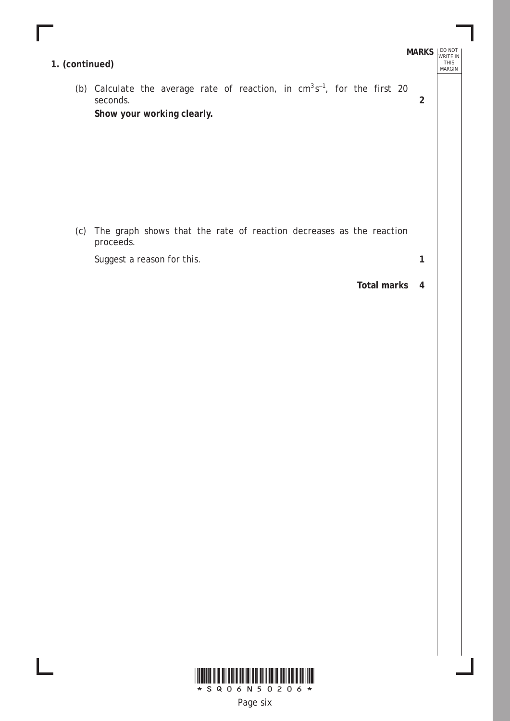|                                                                                           | <b>MARKS</b>   | DO NOT<br>WRITE IN           |
|-------------------------------------------------------------------------------------------|----------------|------------------------------|
| 1. (continued)                                                                            |                | <b>THIS</b><br><b>MARGIN</b> |
| Calculate the average rate of reaction, in $cm3s-1$ , for the first 20<br>(b)<br>seconds. | $\overline{2}$ |                              |
| Show your working clearly.                                                                |                |                              |
|                                                                                           |                |                              |
|                                                                                           |                |                              |
|                                                                                           |                |                              |
|                                                                                           |                |                              |
| The graph shows that the rate of reaction decreases as the reaction<br>(c)<br>proceeds.   |                |                              |
| Suggest a reason for this.                                                                | 1              |                              |
| <b>Total marks</b>                                                                        | 4              |                              |



L

*Page six*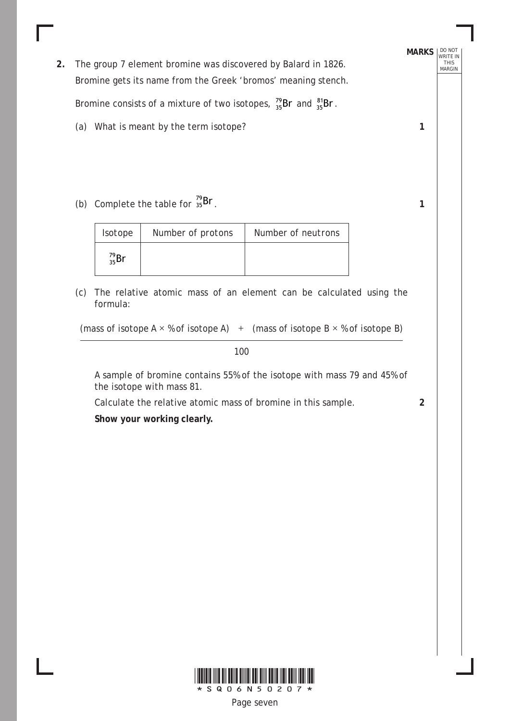**2.** The group 7 element bromine was discovered by Balard in 1826. Bromine gets its name from the Greek 'bromos' meaning stench. Bromine consists of a mixture of two isotopes,  $\frac{79}{35}$ Br and  $\frac{81}{35}$ Br.

**MARKS** NO NOT

**1**

**1**

**2**

THIS MARGIN

- (a) What is meant by the term isotope?
- (b) Complete the table for  $\frac{^{79}}{^{35}}$ Br.

| <i>Isotope</i> | Number of protons | Number of neutrons |
|----------------|-------------------|--------------------|
| $^{79}_{35}Br$ |                   |                    |

(c) The relative atomic mass of an element can be calculated using the formula:

(mass of isotope  $A \times$  % of isotope A) + (mass of isotope B  $\times$  % of isotope B)

100

A sample of bromine contains 55% of the isotope with mass 79 and 45% of the isotope with mass 81.

Calculate the relative atomic mass of bromine in this sample.

**Show your working clearly.**

\*SQ06N50207\*

*Page seven*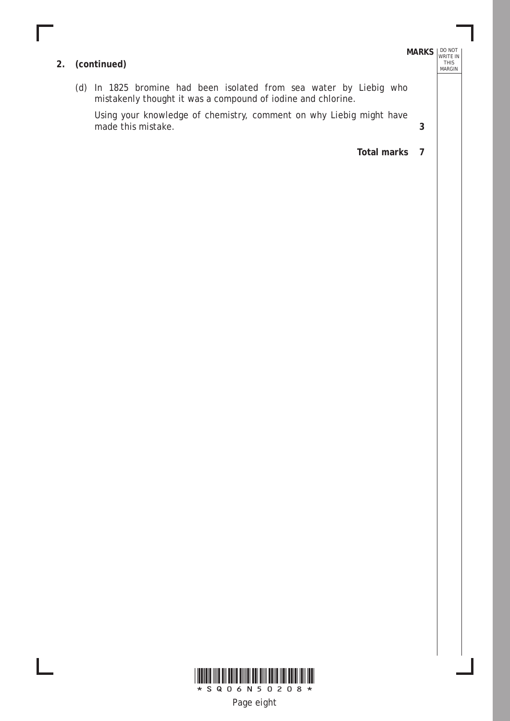| 2. | <b>MARKS</b><br>(continued)                                                                                                        | DO NOT<br>WRITE IN<br><b>THIS</b><br><b>MARGIN</b> |
|----|------------------------------------------------------------------------------------------------------------------------------------|----------------------------------------------------|
|    | (d) In 1825 bromine had been isolated from sea water by Liebig who<br>mistakenly thought it was a compound of iodine and chlorine. |                                                    |
|    | Using your knowledge of chemistry, comment on why Liebig might have<br>made this mistake.<br>3                                     |                                                    |
|    | <b>Total marks</b><br>7                                                                                                            |                                                    |
|    |                                                                                                                                    |                                                    |
|    |                                                                                                                                    |                                                    |



L

*Page eight*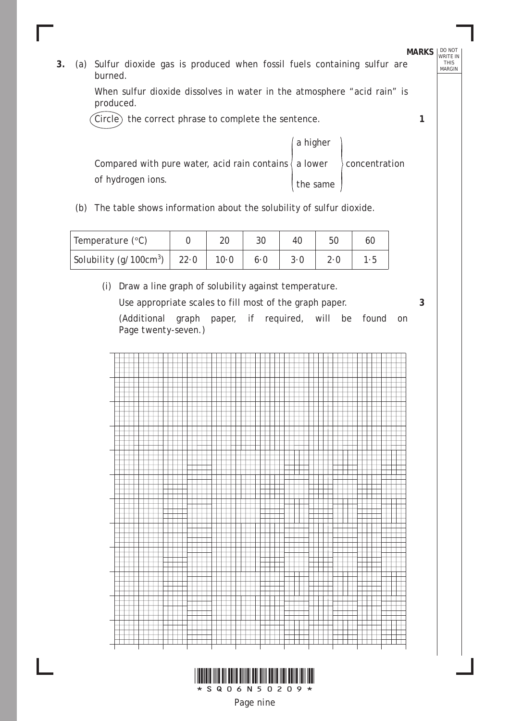**MARKS** NO NOT

**1**

THIS MARGIN

**3.** (a) Sulfur dioxide gas is produced when fossil fuels containing sulfur are burned.

> When sulfur dioxide dissolves in water in the atmosphere "acid rain" is produced.

Circle) the correct phrase to complete the sentence.

|                                                                                                | $\int$ a higher |  |
|------------------------------------------------------------------------------------------------|-----------------|--|
| Compared with pure water, acid rain contains $\langle$ a lower $\longrightarrow$ concentration |                 |  |
| of hydrogen ions.                                                                              | the same        |  |

(b) The table shows information about the solubility of sulfur dioxide.

| Temperature $(°C)$                         |      |      |     | 40  | 50 | 60 |
|--------------------------------------------|------|------|-----|-----|----|----|
| Solubility (g/100cm <sup>3</sup> ) $\vert$ | 22.0 | 10.0 | 6.0 | 3.0 |    |    |

(i) Draw a line graph of solubility against temperature.

Use appropriate scales to fill most of the graph paper.

**3**

(Additional graph paper, if required, will be found on *Page twenty-seven*.)





*Page nine*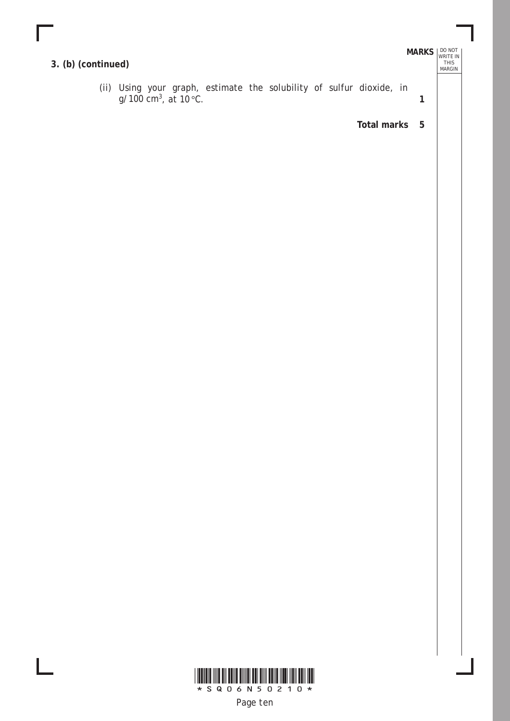| 3. (b) (continued) |                                                                                                                        |  |                    | <b>MARKS</b>   | DO NOT<br>WRITE IN<br><b>THIS</b><br>MARGIN |
|--------------------|------------------------------------------------------------------------------------------------------------------------|--|--------------------|----------------|---------------------------------------------|
|                    | (ii) Using your graph, estimate the solubility of sulfur dioxide, in $g/100 \text{ cm}^3$ , at $10 \degree \text{C}$ . |  |                    | $\mathbf{1}$   |                                             |
|                    |                                                                                                                        |  | <b>Total marks</b> | $\overline{5}$ |                                             |
|                    |                                                                                                                        |  |                    |                |                                             |
|                    |                                                                                                                        |  |                    |                |                                             |
|                    |                                                                                                                        |  |                    |                |                                             |
|                    |                                                                                                                        |  |                    |                |                                             |
|                    |                                                                                                                        |  |                    |                |                                             |
|                    |                                                                                                                        |  |                    |                |                                             |
|                    |                                                                                                                        |  |                    |                |                                             |
|                    |                                                                                                                        |  |                    |                |                                             |
|                    |                                                                                                                        |  |                    |                |                                             |
|                    |                                                                                                                        |  |                    |                |                                             |
|                    |                                                                                                                        |  |                    |                |                                             |
|                    |                                                                                                                        |  |                    |                |                                             |



L

*Page ten*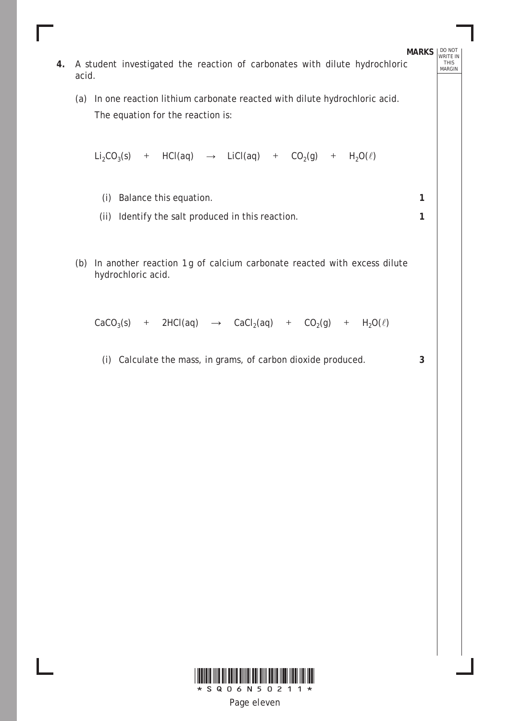



*Page eleven*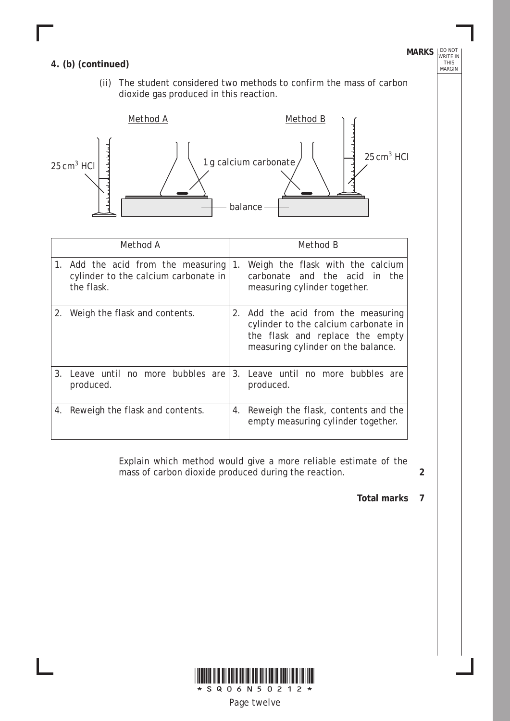### **4. (b) (continued)**

 (ii) The student considered two methods to confirm the mass of carbon dioxide gas produced in this reaction.



|    | Method A                                                                                 |    | Method B                                                                                                                                            |
|----|------------------------------------------------------------------------------------------|----|-----------------------------------------------------------------------------------------------------------------------------------------------------|
|    | 1. Add the acid from the measuring<br>cylinder to the calcium carbonate in<br>the flask. | 1. | Weigh the flask with the calcium<br>carbonate and the acid in the<br>measuring cylinder together.                                                   |
|    | 2. Weigh the flask and contents.                                                         |    | 2. Add the acid from the measuring<br>cylinder to the calcium carbonate in<br>the flask and replace the empty<br>measuring cylinder on the balance. |
| 3. | Leave until no more bubbles are<br>produced.                                             |    | 3. Leave until no more bubbles are<br>produced.                                                                                                     |
| 4. | Reweigh the flask and contents.                                                          |    | 4. Reweigh the flask, contents and the<br>empty measuring cylinder together.                                                                        |

Explain which method would give a more reliable estimate of the mass of carbon dioxide produced during the reaction.

> **Total marks 7**

**2**



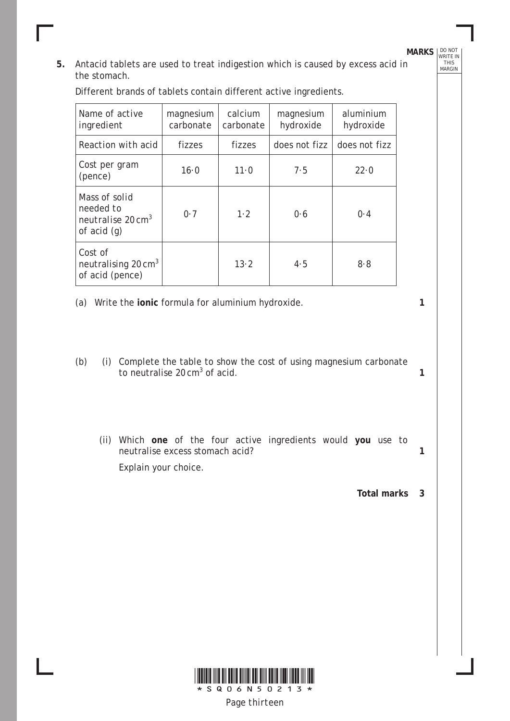# **MARKS** DO NOT WRITE IN THIS MARGIN

**1**

**1**

**1**

**5.** Antacid tablets are used to treat indigestion which is caused by excess acid in the stomach.

| Name of active<br>ingredient                                                | magnesium<br>carbonate | calcium<br>carbonate | magnesium<br>hydroxide | aluminium<br>hydroxide |
|-----------------------------------------------------------------------------|------------------------|----------------------|------------------------|------------------------|
| Reaction with acid                                                          | fizzes                 | fizzes               | does not fizz          | does not fizz          |
| Cost per gram<br>(pence)                                                    | 16.0                   | 11.0                 | 7.5                    | 22.0                   |
| Mass of solid<br>needed to<br>neutralise 20cm <sup>3</sup><br>of $acid (q)$ | 0.7                    | $1\cdot 2$           | 0.6                    | ()·4                   |
| Cost of<br>neutralising 20 cm <sup>3</sup><br>of acid (pence)               |                        | 13.2                 | 4.5                    | 8.8                    |

Different brands of tablets contain different active ingredients.

(a) Write the **ionic** formula for aluminium hydroxide.

- (b) (i) Complete the table to show the cost of using magnesium carbonate to neutralise 20 cm<sup>3</sup> of acid.
	- (ii) Which **one** of the four active ingredients would **you** use to neutralise excess stomach acid? Explain your choice.

**Total marks 3**



*Page thirteen*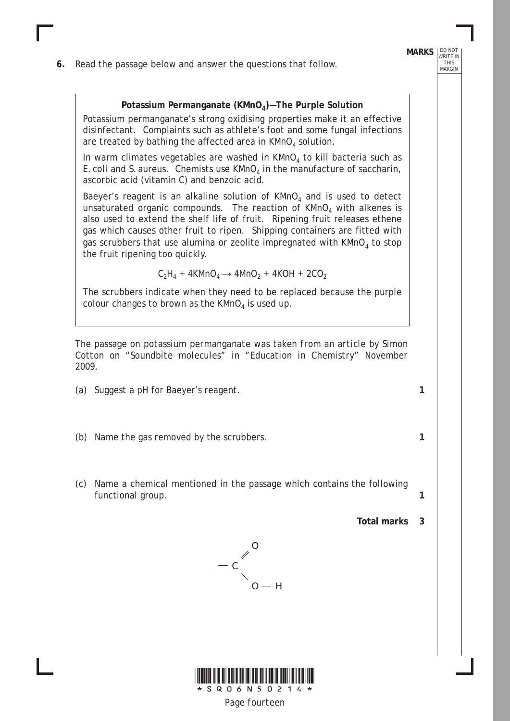**6.** Read the passage below and answer the questions that follow.

#### Potassium Permanganate (KMnO<sub>4</sub>)-The Purple Solution

Potassium permanganate's strong oxidising properties make it an effective disinfectant. Complaints such as athlete's foot and some fungal infections are treated by bathing the affected area in  $KMnO<sub>4</sub>$  solution.

In warm climates vegetables are washed in  $KMD<sub>4</sub>$  to kill bacteria such as E. coli and S. aureus. Chemists use  $KMD<sub>4</sub>$  in the manufacture of saccharin, ascorbic acid (vitamin C) and benzoic acid.

Baeyer's reagent is an alkaline solution of  $KMnO<sub>4</sub>$  and is used to detect unsaturated organic compounds. The reaction of  $KMnO<sub>4</sub>$  with alkenes is also used to extend the shelf life of fruit. Ripening fruit releases ethene gas which causes other fruit to ripen. Shipping containers are fitted with gas scrubbers that use alumina or zeolite impregnated with  $KMD<sub>4</sub>$  to stop the fruit ripening too quickly.

$$
\rm C_2H_4 + 4KMnO_4 \longrightarrow 4MnO_2 + 4KOH + 2CO_2
$$

The scrubbers indicate when they need to be replaced because the purple colour changes to brown as the  $KMnO<sub>4</sub>$  is used up.

*The passage on potassium permanganate was taken from an article by Simon Cotton on "Soundbite molecules" in "Education in Chemistry" November 2009.*

- (a) Suggest a pH for Baeyer's reagent.
- (b) Name the gas removed by the scrubbers.
- (c) Name a chemical mentioned in the passage which contains the following functional group.

**Total marks 3**





# **1**

**1**

**1**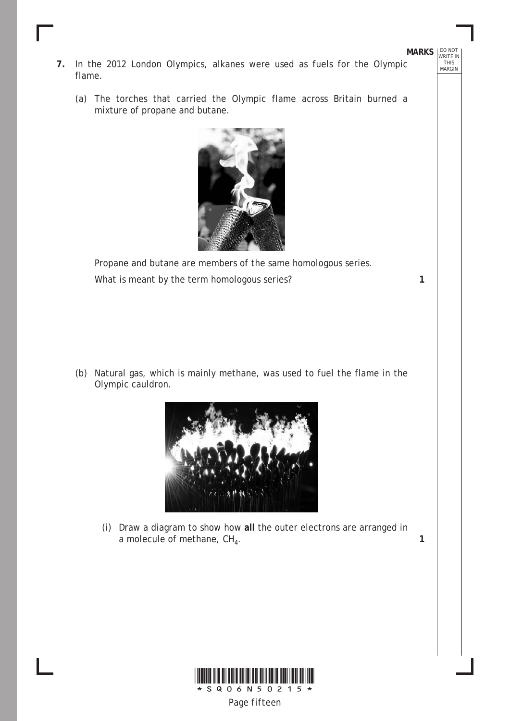### **MARKS** NO NOT

**1**

**1**

THIS MARGIN

- **7.** In the 2012 London Olympics, alkanes were used as fuels for the Olympic flame.
	- (a) The torches that carried the Olympic flame across Britain burned a mixture of propane and butane.



Propane and butane are members of the same homologous series. What is meant by the term homologous series?

(b) Natural gas, which is mainly methane, was used to fuel the flame in the Olympic cauldron.



 (i) Draw a diagram to show how **all** the outer electrons are arranged in a molecule of methane,  $CH<sub>4</sub>$ .

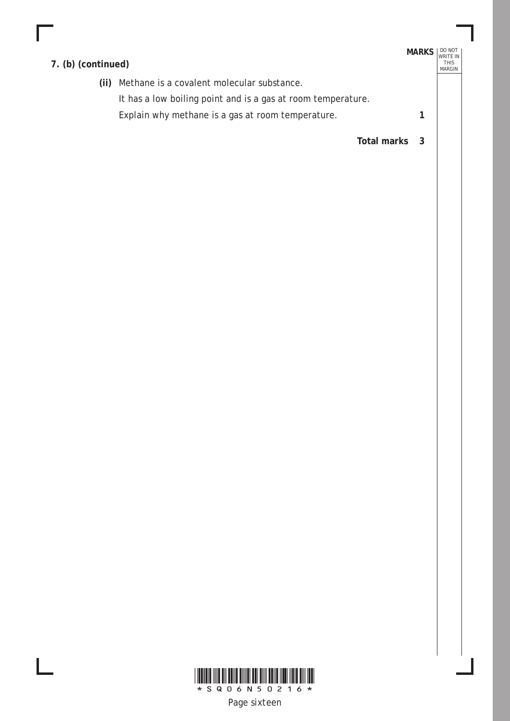| 7. (b) (continued)                                           |                    | <b>MARKS</b> | WRITF IN<br><b>THIS</b><br><b>MARGIN</b> |
|--------------------------------------------------------------|--------------------|--------------|------------------------------------------|
| Methane is a covalent molecular substance.<br>(ii)           |                    |              |                                          |
| It has a low boiling point and is a gas at room temperature. |                    |              |                                          |
| Explain why methane is a gas at room temperature.            |                    |              |                                          |
|                                                              | <b>Total marks</b> | 3            |                                          |
|                                                              |                    |              |                                          |

Ш

L



*Page sixteen*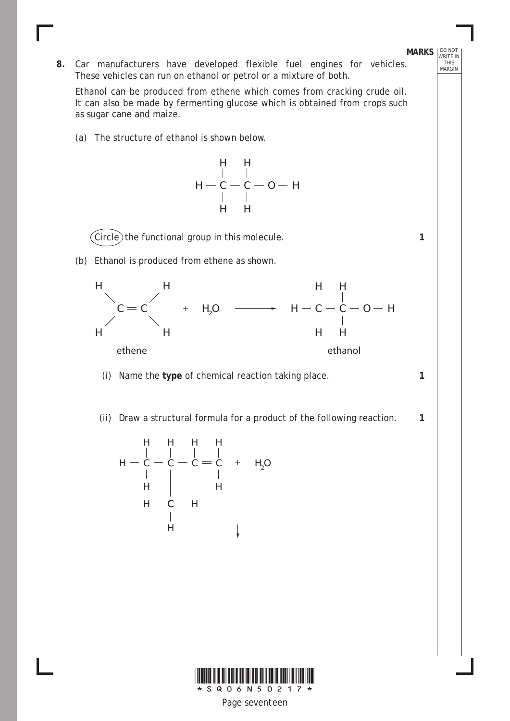**MARKS** NO NOT THIS MARGIN  **8.** Car manufacturers have developed flexible fuel engines for vehicles. These vehicles can run on ethanol or petrol or a mixture of both.

Ethanol can be produced from ethene which comes from cracking crude oil. It can also be made by fermenting glucose which is obtained from crops such as sugar cane and maize.

(a) The structure of ethanol is shown below.

$$
\begin{array}{c}\n\text{H} & \text{H} \\
\mid & \mid \\
\text{H} & -\text{C} - \text{C} - \text{O} - \text{H} \\
\mid & \mid \\
\text{H} & \text{H}\n\end{array}
$$

**1**

**1**

**1**

 $(Circle)$  the functional group in this molecule.

(b) Ethanol is produced from ethene as shown.



(i) Name the **type** of chemical reaction taking place.

(ii) Draw a structural formula for a product of the following reaction.

$$
H H H H H H \nH - C - C - C = C + H2O \nH H H H H \nH H H
$$
\n
$$
H - C - H
$$



*Page seventeen*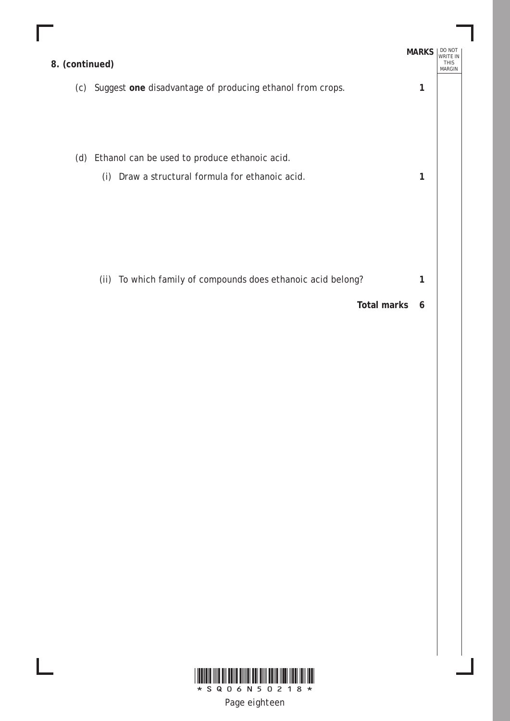| L |                |                                                                 |              |                                             |
|---|----------------|-----------------------------------------------------------------|--------------|---------------------------------------------|
|   | 8. (continued) |                                                                 | <b>MARKS</b> | DO NOT<br>WRITE IN<br><b>THIS</b><br>MARGIN |
|   |                | (c) Suggest one disadvantage of producing ethanol from crops.   | 1            |                                             |
|   |                |                                                                 |              |                                             |
|   |                |                                                                 |              |                                             |
|   |                | (d) Ethanol can be used to produce ethanoic acid.               |              |                                             |
|   |                | (i) Draw a structural formula for ethanoic acid.                | 1            |                                             |
|   |                |                                                                 |              |                                             |
|   |                |                                                                 |              |                                             |
|   |                |                                                                 |              |                                             |
|   |                | To which family of compounds does ethanoic acid belong?<br>(ii) | 1            |                                             |
|   |                | <b>Total marks</b>                                              | 6            |                                             |
|   |                |                                                                 |              |                                             |
|   |                |                                                                 |              |                                             |
|   |                |                                                                 |              |                                             |
|   |                |                                                                 |              |                                             |
|   |                |                                                                 |              |                                             |
|   |                |                                                                 |              |                                             |
|   |                |                                                                 |              |                                             |
|   |                |                                                                 |              |                                             |
|   |                |                                                                 |              |                                             |
|   |                |                                                                 |              |                                             |
|   |                |                                                                 |              |                                             |
|   |                |                                                                 |              |                                             |



 $\mathbb{L}$ 

*Page eighteen*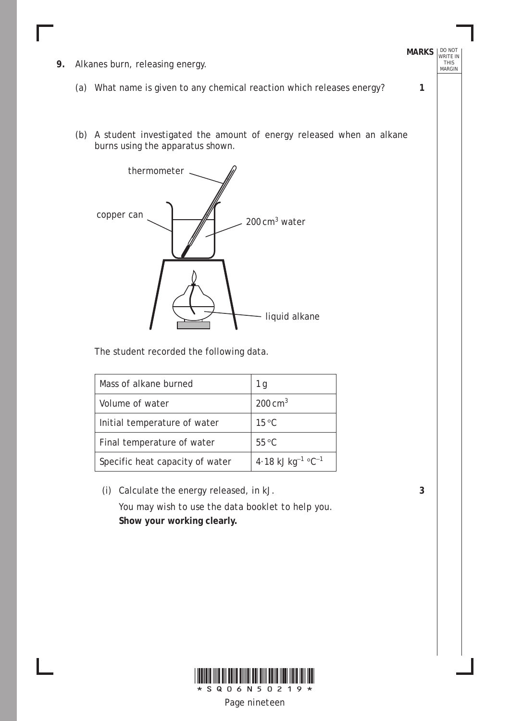- **9.** Alkanes burn, releasing energy.
	- (a) What name is given to any chemical reaction which releases energy?
	- (b) A student investigated the amount of energy released when an alkane burns using the apparatus shown.



The student recorded the following data.

| Mass of alkane burned           | 1 g                                                 |
|---------------------------------|-----------------------------------------------------|
| Volume of water                 | $200 \text{ cm}^3$                                  |
| Initial temperature of water    | $15^{\circ}$ C                                      |
| Final temperature of water      | $55^{\circ}$ C                                      |
| Specific heat capacity of water | 4.18 kJ kg <sup>-1</sup> $^{\circ}$ C <sup>-1</sup> |

 (i) Calculate the energy released, in kJ. *You may wish to use the data booklet to help you.* **Show your working clearly.**



**3**

**MARKS**<br>
WRITE IN

WRITE IN

MARGIN

**1**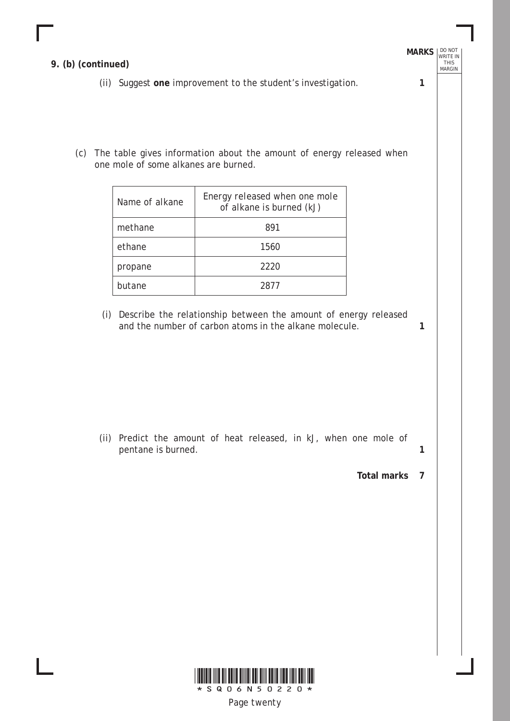| 9. (b) (continued) |                                      |                                                                                                                               |                     |
|--------------------|--------------------------------------|-------------------------------------------------------------------------------------------------------------------------------|---------------------|
|                    |                                      | (ii) Suggest one improvement to the student's investigation.                                                                  | 1                   |
|                    |                                      |                                                                                                                               |                     |
|                    |                                      |                                                                                                                               |                     |
|                    |                                      | (c) The table gives information about the amount of energy released when                                                      |                     |
|                    | one mole of some alkanes are burned. |                                                                                                                               |                     |
|                    | Name of alkane                       | Energy released when one mole<br>of alkane is burned (kJ)                                                                     |                     |
|                    | methane                              | 891                                                                                                                           |                     |
|                    | ethane                               | 1560                                                                                                                          |                     |
|                    | propane                              | 2220                                                                                                                          |                     |
|                    | butane                               | 2877                                                                                                                          |                     |
|                    |                                      | (i) Describe the relationship between the amount of energy released<br>and the number of carbon atoms in the alkane molecule. |                     |
|                    |                                      | (ii) Predict the amount of heat released, in kJ, when one mole of                                                             |                     |
|                    | pentane is burned.                   |                                                                                                                               |                     |
|                    |                                      | <b>Total marks</b>                                                                                                            |                     |
|                    |                                      |                                                                                                                               | 1                   |
|                    |                                      |                                                                                                                               |                     |
|                    |                                      |                                                                                                                               |                     |
|                    |                                      |                                                                                                                               | 1<br>$\overline{7}$ |



 $\mathbf{L}$ 

 $\overline{\phantom{a}}$ 

*Page twenty*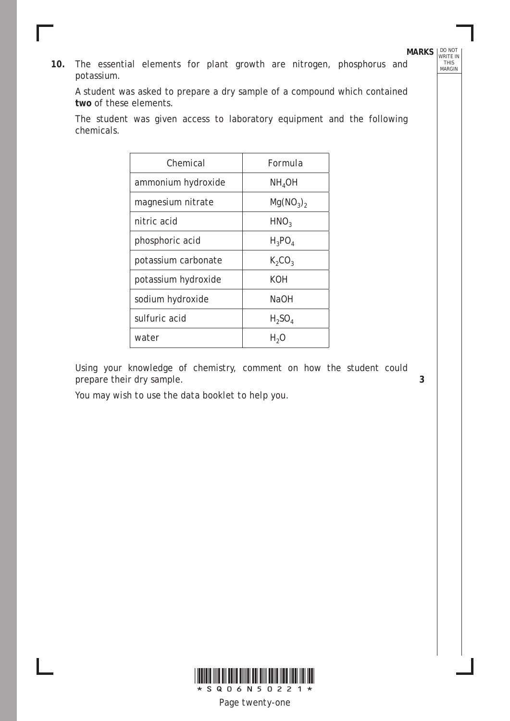#### **MARKS** NO NOT

**3**

THIS MARGIN

 **10.** The essential elements for plant growth are nitrogen, phosphorus and potassium.

A student was asked to prepare a dry sample of a compound which contained **two** of these elements.

The student was given access to laboratory equipment and the following chemicals.

| Chemical            | Formula            |
|---------------------|--------------------|
| ammonium hydroxide  | NH <sub>4</sub> OH |
| magnesium nitrate   | $Mg(NO_3)$         |
| nitric acid         | HNO <sub>3</sub>   |
| phosphoric acid     | $H_3PO_4$          |
| potassium carbonate | $K_2CO_3$          |
| potassium hydroxide | кон                |
| sodium hydroxide    | NaOH               |
| sulfuric acid       | $H_2SO_4$          |
| water               | H <sub>2</sub> O   |

Using your knowledge of chemistry, comment on how the student could prepare their dry sample.

*You may wish to use the data booklet to help you.*



*Page twenty-one*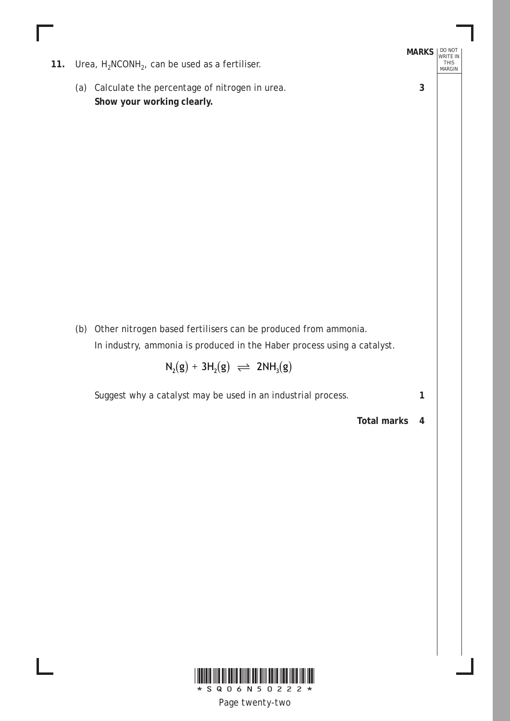



*Page twenty-two*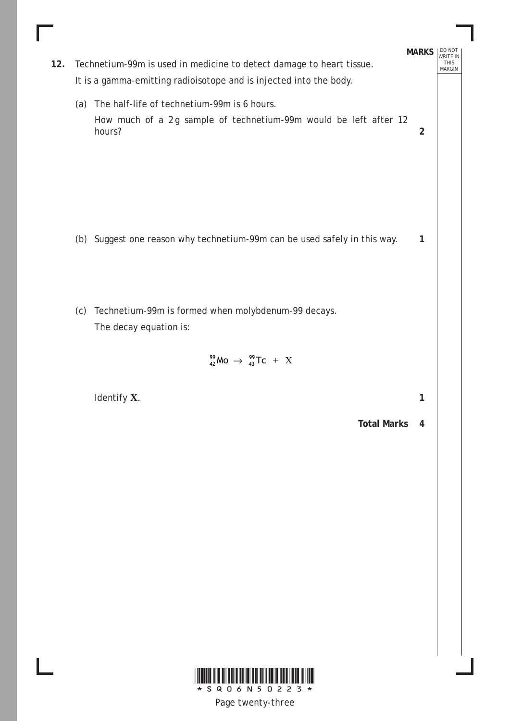



*Page twenty-three*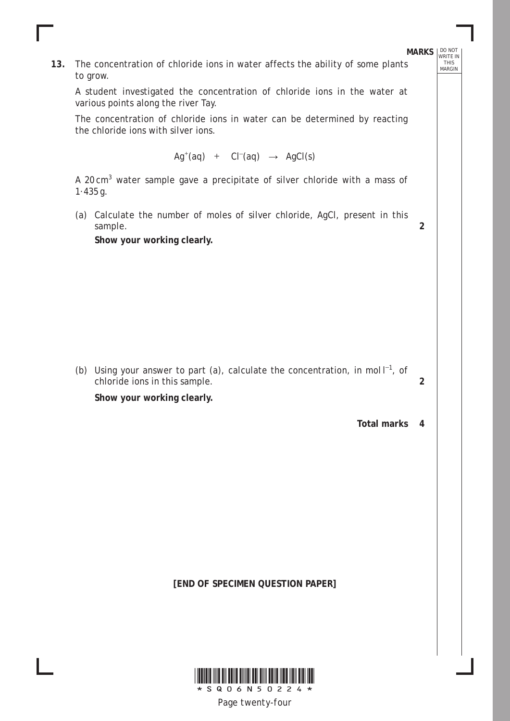**MARKS** NO NOT THIS MARGIN **13.** The concentration of chloride ions in water affects the ability of some plants to grow. A student investigated the concentration of chloride ions in the water at various points along the river Tay. The concentration of chloride ions in water can be determined by reacting the chloride ions with silver ions.  $Ag^+(aq)$  +  $Cl^-(aq)$   $\rightarrow$  AgCI(s) A 20 cm<sup>3</sup> water sample gave a precipitate of silver chloride with a mass of  $1.435$  g. (a) Calculate the number of moles of silver chloride, AgCl, present in this sample. **Show your working clearly.** (b) Using your answer to part (a), calculate the concentration, in moll<sup>-1</sup>, of chloride ions in this sample. **Show your working clearly. Total marks 2 2 4 [END OF SPECIMEN QUESTION PAPER]**



*Page twenty-four*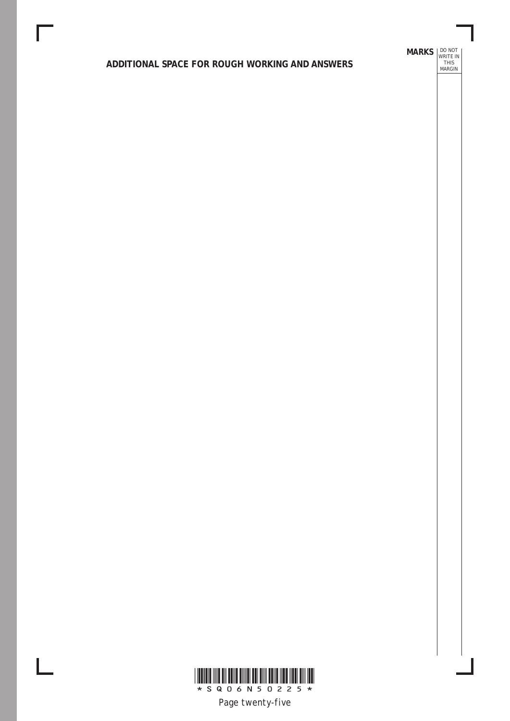#### **ADDITIONAL SPACE FOR ROUGH WORKING AND ANSWERS**

**MARKS**<br>
WRITE IN

WRITE IN

MARGIN



*Page twenty-five*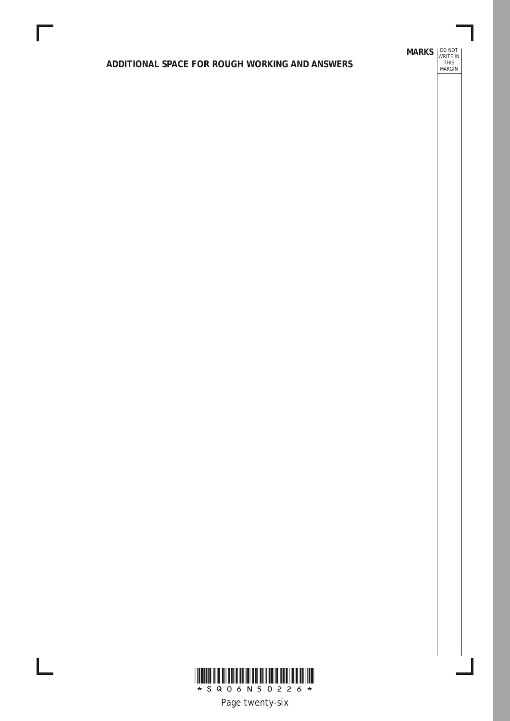| ADDITIONAL SPACE FOR ROUGH WORKING AND ANSWERS |
|------------------------------------------------|
|------------------------------------------------|

**MARKS**<br>
WRITE IN

WRITE IN

MARGIN



*Page twenty-six*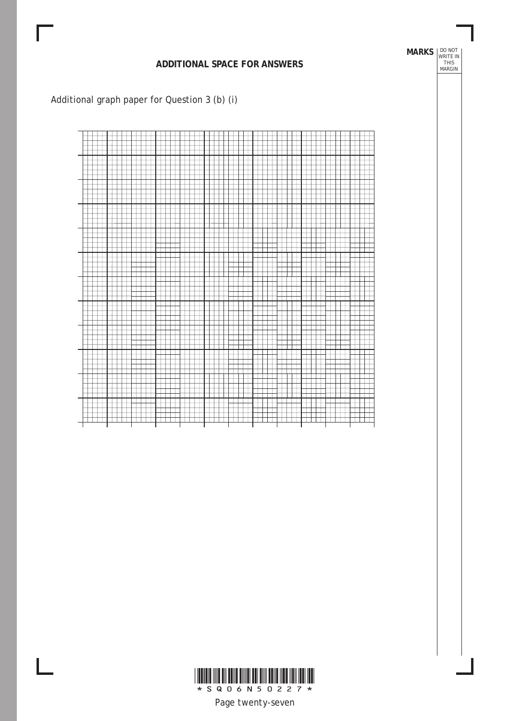

#### **ADDITIONAL SPACE FOR ANSWERS**

**MARKS** NO NOT THIS MARGIN

Additional graph paper for Question 3 (b) (i)





*Page twenty-seven*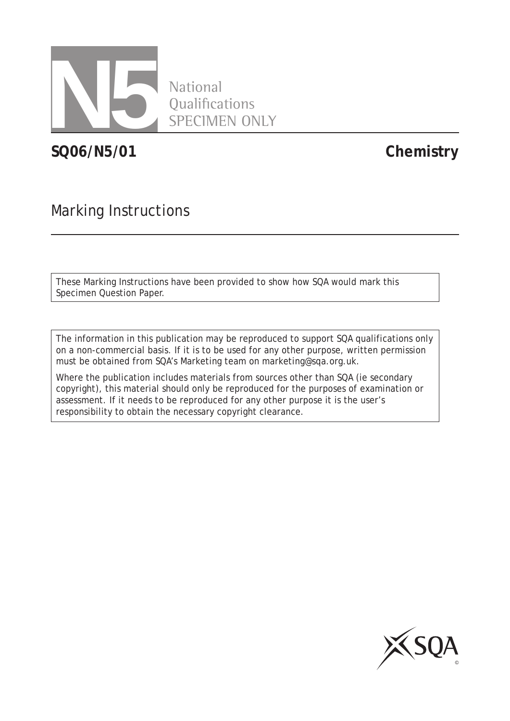

**National** Qualifications SPECIMEN ONLY

**SQ06/N5/01 Chemistry**

## Marking Instructions

These Marking Instructions have been provided to show how SQA would mark this Specimen Question Paper.

The information in this publication may be reproduced to support SQA qualifications only on a non-commercial basis. If it is to be used for any other purpose, written permission must be obtained from SQA's Marketing team on marketing@sqa.org.uk.

Where the publication includes materials from sources other than SQA (ie secondary copyright), this material should only be reproduced for the purposes of examination or assessment. If it needs to be reproduced for any other purpose it is the user's responsibility to obtain the necessary copyright clearance.

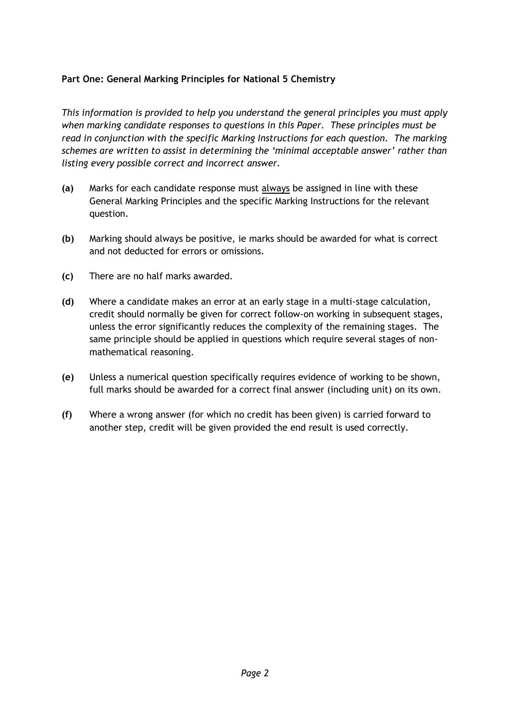#### **Part One: General Marking Principles for National 5 Chemistry**

*This information is provided to help you understand the general principles you must apply when marking candidate responses to questions in this Paper. These principles must be read in conjunction with the specific Marking Instructions for each question. The marking schemes are written to assist in determining the 'minimal acceptable answer' rather than listing every possible correct and incorrect answer.* 

- **(a)** Marks for each candidate response must always be assigned in line with these General Marking Principles and the specific Marking Instructions for the relevant question.
- **(b)** Marking should always be positive, ie marks should be awarded for what is correct and not deducted for errors or omissions.
- **(c)** There are no half marks awarded.
- **(d)** Where a candidate makes an error at an early stage in a multi-stage calculation, credit should normally be given for correct follow-on working in subsequent stages, unless the error significantly reduces the complexity of the remaining stages. The same principle should be applied in questions which require several stages of nonmathematical reasoning.
- **(e)** Unless a numerical question specifically requires evidence of working to be shown, full marks should be awarded for a correct final answer (including unit) on its own.
- **(f)** Where a wrong answer (for which no credit has been given) is carried forward to another step, credit will be given provided the end result is used correctly.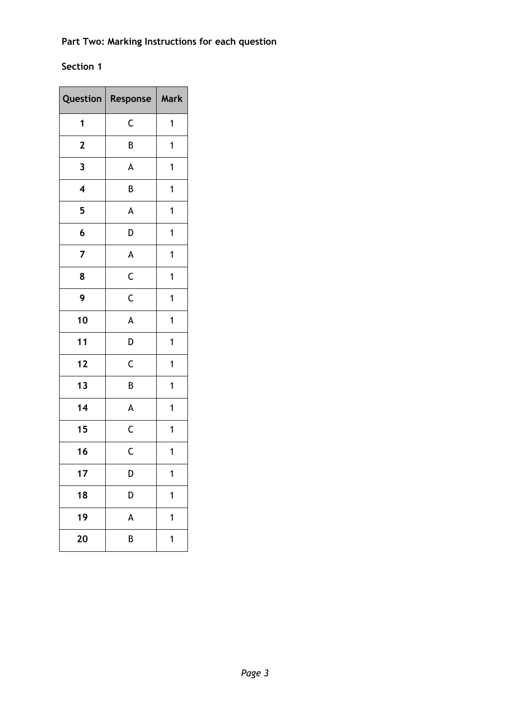#### **Part Two: Marking Instructions for each question**

#### **Section 1**

|              | Question   Response     | Mark         |
|--------------|-------------------------|--------------|
| 1            | $\mathsf C$             | 1            |
| $\mathbf{2}$ | B                       | $\mathbf{1}$ |
| 3            | A                       | 1            |
| 4            | B                       | 1            |
| 5            | A                       | 1            |
| 6            | D                       | $\mathbf{1}$ |
| 7            | A                       | 1            |
| 8            | $\mathsf C$             | $\mathbf{1}$ |
| 9            | $\mathsf C$             | $\mathbf{1}$ |
| 10           | $\overline{\mathsf{A}}$ | $\mathbf{1}$ |
| 11           | D                       | 1            |
| 12           | $\mathsf C$             | $\mathbf{1}$ |
| 13           | B                       | 1            |
| 14           | A                       | $\mathbf{1}$ |
| 15           | $\mathsf{C}$            | $\mathbf{1}$ |
| 16           | $\mathsf C$             | 1            |
| 17           | D                       | 1            |
| 18           | D                       | 1            |
| 19           | A                       | 1            |
| 20           | B                       | 1            |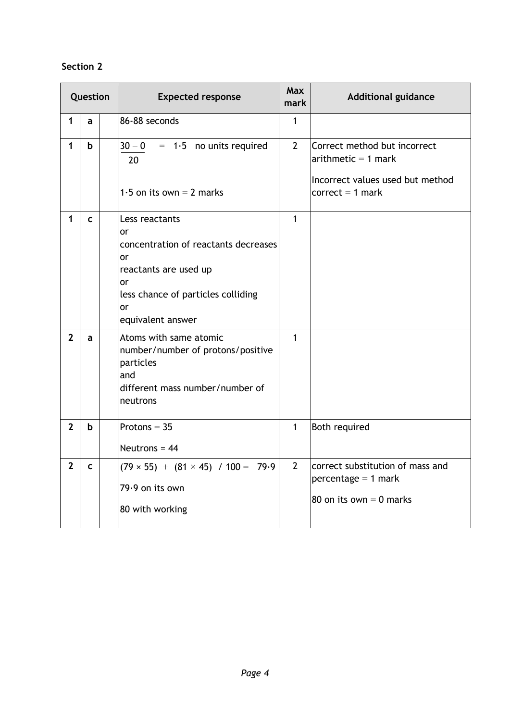#### **Section 2**

|                | Question     | <b>Expected response</b>                                                                                                                                           | <b>Max</b><br>mark | <b>Additional guidance</b>                                                                                      |
|----------------|--------------|--------------------------------------------------------------------------------------------------------------------------------------------------------------------|--------------------|-----------------------------------------------------------------------------------------------------------------|
| 1              | a            | 86-88 seconds                                                                                                                                                      | 1                  |                                                                                                                 |
| 1              | b            | $= 1.5$ no units required<br>$30 - 0$<br>20<br>1.5 on its own = 2 marks                                                                                            | $2^{\circ}$        | Correct method but incorrect<br>$arithmetic = 1 mark$<br>Incorrect values used but method<br>$correct = 1 mark$ |
| 1              | C            | Less reactants<br>or<br>concentration of reactants decreases<br>or<br>reactants are used up<br>or<br>less chance of particles colliding<br>or<br>equivalent answer | $\mathbf{1}$       |                                                                                                                 |
| $\overline{2}$ | a            | Atoms with same atomic<br>number/number of protons/positive<br>particles<br>and<br>different mass number/number of<br>neutrons                                     | $\mathbf{1}$       |                                                                                                                 |
| $\overline{2}$ | b            | Protons $=$ 35<br>Neutrons = $44$                                                                                                                                  | $\mathbf{1}$       | <b>Both required</b>                                                                                            |
| $\overline{2}$ | $\mathsf{C}$ | $(79 \times 55)$ + $(81 \times 45)$ / 100 = 79.9<br>79.9 on its own<br>80 with working                                                                             | $2^{\circ}$        | correct substitution of mass and<br>$percentage = 1 mark$<br>80 on its own $=$ 0 marks                          |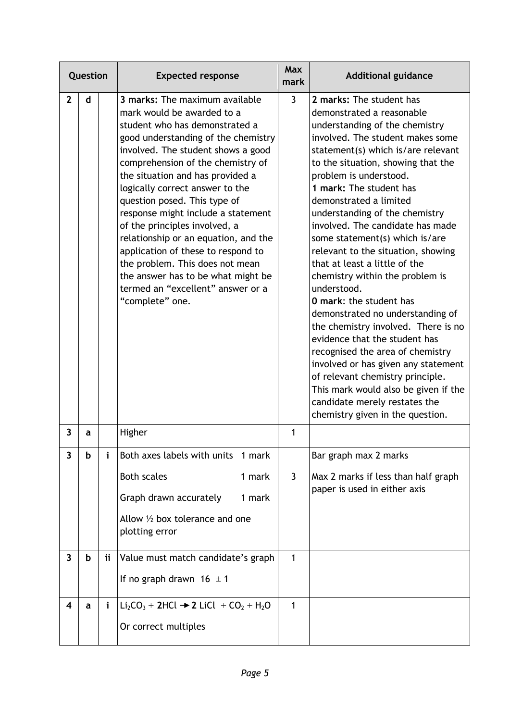|              | Question |    | <b>Expected response</b>                                                                                                                                                                                                                                                                                                                                                                                                                                                                                                                                                                                      | <b>Max</b><br>mark | <b>Additional guidance</b>                                                                                                                                                                                                                                                                                                                                                                                                                                                                                                                                                                                                                                                                                                                                                                                                                                                                        |
|--------------|----------|----|---------------------------------------------------------------------------------------------------------------------------------------------------------------------------------------------------------------------------------------------------------------------------------------------------------------------------------------------------------------------------------------------------------------------------------------------------------------------------------------------------------------------------------------------------------------------------------------------------------------|--------------------|---------------------------------------------------------------------------------------------------------------------------------------------------------------------------------------------------------------------------------------------------------------------------------------------------------------------------------------------------------------------------------------------------------------------------------------------------------------------------------------------------------------------------------------------------------------------------------------------------------------------------------------------------------------------------------------------------------------------------------------------------------------------------------------------------------------------------------------------------------------------------------------------------|
| $\mathbf{2}$ | d        |    | 3 marks: The maximum available<br>mark would be awarded to a<br>student who has demonstrated a<br>good understanding of the chemistry<br>involved. The student shows a good<br>comprehension of the chemistry of<br>the situation and has provided a<br>logically correct answer to the<br>question posed. This type of<br>response might include a statement<br>of the principles involved, a<br>relationship or an equation, and the<br>application of these to respond to<br>the problem. This does not mean<br>the answer has to be what might be<br>termed an "excellent" answer or a<br>"complete" one. | 3                  | 2 marks: The student has<br>demonstrated a reasonable<br>understanding of the chemistry<br>involved. The student makes some<br>statement(s) which is/are relevant<br>to the situation, showing that the<br>problem is understood.<br>1 mark: The student has<br>demonstrated a limited<br>understanding of the chemistry<br>involved. The candidate has made<br>some statement(s) which is/are<br>relevant to the situation, showing<br>that at least a little of the<br>chemistry within the problem is<br>understood.<br><b>0 mark:</b> the student has<br>demonstrated no understanding of<br>the chemistry involved. There is no<br>evidence that the student has<br>recognised the area of chemistry<br>involved or has given any statement<br>of relevant chemistry principle.<br>This mark would also be given if the<br>candidate merely restates the<br>chemistry given in the question. |
| 3            | a        |    | Higher                                                                                                                                                                                                                                                                                                                                                                                                                                                                                                                                                                                                        | 1                  |                                                                                                                                                                                                                                                                                                                                                                                                                                                                                                                                                                                                                                                                                                                                                                                                                                                                                                   |
| 3            | b        | i  | Both axes labels with units 1 mark<br><b>Both scales</b><br>1 mark<br>Graph drawn accurately<br>1 mark<br>Allow $\frac{1}{2}$ box tolerance and one<br>plotting error                                                                                                                                                                                                                                                                                                                                                                                                                                         | 3                  | Bar graph max 2 marks<br>Max 2 marks if less than half graph<br>paper is used in either axis                                                                                                                                                                                                                                                                                                                                                                                                                                                                                                                                                                                                                                                                                                                                                                                                      |
| 3            | b        | ii | Value must match candidate's graph<br>If no graph drawn $16 \pm 1$                                                                                                                                                                                                                                                                                                                                                                                                                                                                                                                                            | $\mathbf 1$        |                                                                                                                                                                                                                                                                                                                                                                                                                                                                                                                                                                                                                                                                                                                                                                                                                                                                                                   |
| 4            | a        | i  | $Li_2CO_3 + 2HCl \rightarrow 2$ LiCl + CO <sub>2</sub> + H <sub>2</sub> O<br>Or correct multiples                                                                                                                                                                                                                                                                                                                                                                                                                                                                                                             | $\mathbf 1$        |                                                                                                                                                                                                                                                                                                                                                                                                                                                                                                                                                                                                                                                                                                                                                                                                                                                                                                   |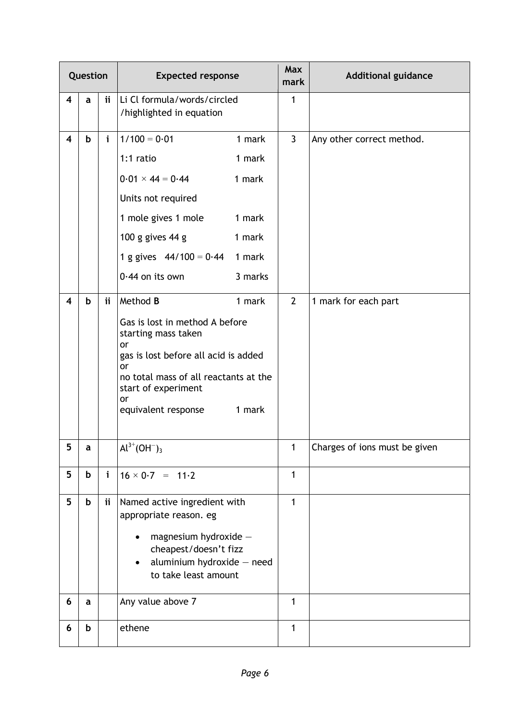| Question                |             |              | <b>Expected response</b>                                                                                                                                                                                         |         | <b>Max</b><br>mark | <b>Additional guidance</b>    |
|-------------------------|-------------|--------------|------------------------------------------------------------------------------------------------------------------------------------------------------------------------------------------------------------------|---------|--------------------|-------------------------------|
| 4                       | a           | <b>ii</b>    | Li Cl formula/words/circled<br>/highlighted in equation                                                                                                                                                          |         | 1                  |                               |
| $\overline{\mathbf{4}}$ | $\mathbf b$ | $\mathbf{i}$ | $1/100 = 0.01$                                                                                                                                                                                                   | 1 mark  | $\overline{3}$     | Any other correct method.     |
|                         |             |              | 1:1 ratio                                                                                                                                                                                                        | 1 mark  |                    |                               |
|                         |             |              | $0.01 \times 44 = 0.44$                                                                                                                                                                                          | 1 mark  |                    |                               |
|                         |             |              | Units not required                                                                                                                                                                                               |         |                    |                               |
|                         |             |              | 1 mole gives 1 mole                                                                                                                                                                                              | 1 mark  |                    |                               |
|                         |             |              | 100 g gives $44$ g                                                                                                                                                                                               | 1 mark  |                    |                               |
|                         |             |              | 1 g gives $44/100 = 0.44$                                                                                                                                                                                        | 1 mark  |                    |                               |
|                         |             |              | $0.44$ on its own                                                                                                                                                                                                | 3 marks |                    |                               |
| $\overline{\mathbf{4}}$ | $\mathbf b$ | ii.          | Method <b>B</b>                                                                                                                                                                                                  | 1 mark  | $2^{\circ}$        | 1 mark for each part          |
|                         |             |              | Gas is lost in method A before<br>starting mass taken<br>or<br>gas is lost before all acid is added<br>or<br>no total mass of all reactants at the<br>start of experiment<br>or<br>equivalent response<br>1 mark |         |                    |                               |
| 5                       | а           |              | $\mathsf{Al}^{3+}(\mathsf{OH}^-)_3$                                                                                                                                                                              |         | $\mathbf{1}$       | Charges of ions must be given |
| 5                       | b           | i            | $16 \times 0.7 = 11.2$                                                                                                                                                                                           |         | 1                  |                               |
| 5                       | b           | ii.          | Named active ingredient with<br>appropriate reason. eg<br>magnesium hydroxide $-$<br>cheapest/doesn't fizz<br>aluminium hydroxide - need<br>to take least amount                                                 |         | $\mathbf{1}$       |                               |
| 6                       | a           |              | Any value above 7                                                                                                                                                                                                |         | $\mathbf{1}$       |                               |
| 6                       | b           |              | ethene                                                                                                                                                                                                           |         | $\mathbf{1}$       |                               |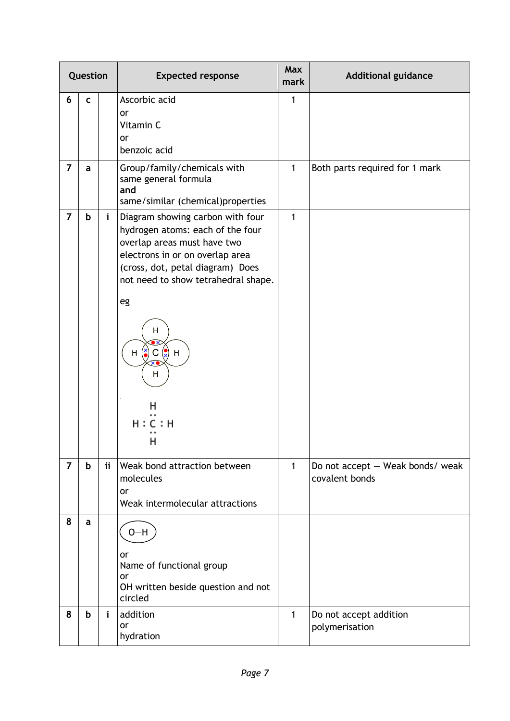| Question       |              |              | <b>Expected response</b>                                                                                                                                                                                                                                      |              | <b>Additional guidance</b>                         |  |
|----------------|--------------|--------------|---------------------------------------------------------------------------------------------------------------------------------------------------------------------------------------------------------------------------------------------------------------|--------------|----------------------------------------------------|--|
| 6              | $\mathsf{C}$ |              | Ascorbic acid<br><b>or</b><br>Vitamin C<br><b>or</b><br>benzoic acid                                                                                                                                                                                          | 1            |                                                    |  |
| 7              | a            |              | Group/family/chemicals with<br>same general formula<br>and<br>same/similar (chemical)properties                                                                                                                                                               | $\mathbf{1}$ | Both parts required for 1 mark                     |  |
| $\overline{7}$ | b            | i            | Diagram showing carbon with four<br>hydrogen atoms: each of the four<br>overlap areas must have two<br>electrons in or on overlap area<br>(cross, dot, petal diagram) Does<br>not need to show tetrahedral shape.<br>eg<br>н<br>H<br>H (<br>н<br>Н :<br>C : H | $\mathbf{1}$ |                                                    |  |
| $\overline{7}$ | b            | ii.          | Weak bond attraction between<br>molecules<br>or<br>Weak intermolecular attractions                                                                                                                                                                            | 1            | Do not accept - Weak bonds/ weak<br>covalent bonds |  |
| 8              | a            |              | $O-H$<br>or<br>Name of functional group<br>or<br>OH written beside question and not<br>circled                                                                                                                                                                |              |                                                    |  |
| 8              | b            | $\mathbf{i}$ | addition<br><b>or</b><br>hydration                                                                                                                                                                                                                            | 1            | Do not accept addition<br>polymerisation           |  |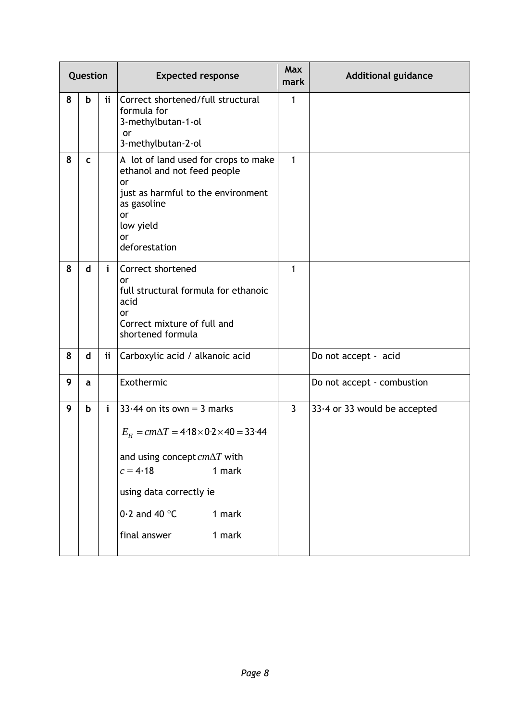| Question |                                                                                                                                                                                                                                                             |     | <b>Expected response</b>                                                                           |                              | <b>Additional guidance</b> |
|----------|-------------------------------------------------------------------------------------------------------------------------------------------------------------------------------------------------------------------------------------------------------------|-----|----------------------------------------------------------------------------------------------------|------------------------------|----------------------------|
| 8        | b                                                                                                                                                                                                                                                           | ii. | Correct shortened/full structural<br>formula for<br>3-methylbutan-1-ol<br>or<br>3-methylbutan-2-ol |                              |                            |
| 8        | A lot of land used for crops to make<br>C<br>ethanol and not feed people<br>or<br>just as harmful to the environment<br>as gasoline<br>or<br>low yield<br>or<br>deforestation                                                                               |     | $\mathbf 1$                                                                                        |                              |                            |
| 8        | d<br>i<br>Correct shortened<br><sub>or</sub><br>full structural formula for ethanoic<br>acid<br>or<br>Correct mixture of full and<br>shortened formula                                                                                                      |     | 1                                                                                                  |                              |                            |
| 8        | $\mathsf{d}$<br>ii<br>Carboxylic acid / alkanoic acid                                                                                                                                                                                                       |     |                                                                                                    | Do not accept - acid         |                            |
| 9        | Exothermic<br>a                                                                                                                                                                                                                                             |     |                                                                                                    | Do not accept - combustion   |                            |
| 9        | 33.44 on its own = 3 marks<br>$\mathbf{i}$<br>b<br>$E_{H} = cm\Delta T = 418 \times 0.2 \times 40 = 33.44$<br>and using concept $cm\Delta T$ with<br>$c = 4.18$<br>1 mark<br>using data correctly ie<br>$0.2$ and 40 °C<br>1 mark<br>final answer<br>1 mark |     | 3                                                                                                  | 33.4 or 33 would be accepted |                            |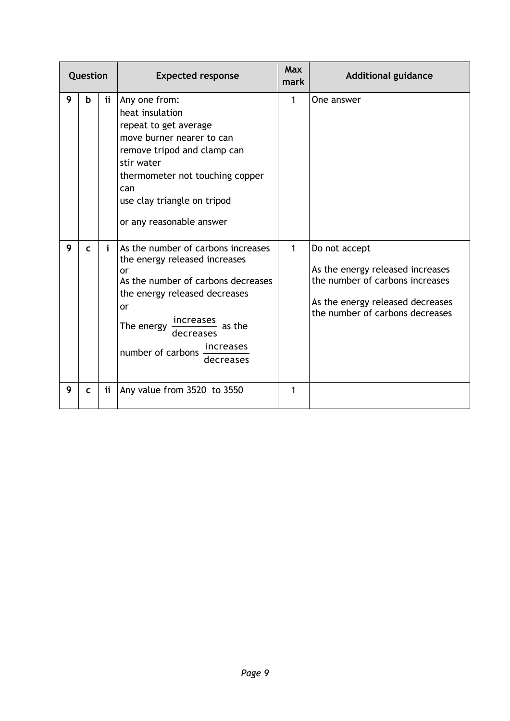| Question                                    |              |           | <b>Expected response</b>                                                                                                                                                                                                                                    | <b>Max</b><br>mark | <b>Additional guidance</b>                                                                                                                                  |
|---------------------------------------------|--------------|-----------|-------------------------------------------------------------------------------------------------------------------------------------------------------------------------------------------------------------------------------------------------------------|--------------------|-------------------------------------------------------------------------------------------------------------------------------------------------------------|
| 9                                           | b            | <b>ii</b> | Any one from:<br>heat insulation<br>repeat to get average<br>move burner nearer to can<br>remove tripod and clamp can<br>stir water<br>thermometer not touching copper<br>can<br>use clay triangle on tripod<br>or any reasonable answer                    | $\mathbf{1}$       | One answer                                                                                                                                                  |
| 9                                           | $\mathsf{C}$ | i.        | As the number of carbons increases<br>the energy released increases<br>or<br>As the number of carbons decreases<br>the energy released decreases<br>or<br>$\frac{increases}{decreases}$ as the<br>The energy<br>increases<br>number of carbons<br>decreases |                    | Do not accept<br>As the energy released increases<br>the number of carbons increases<br>As the energy released decreases<br>the number of carbons decreases |
| 9<br>ii<br>Any value from 3520 to 3550<br>C |              | 1         |                                                                                                                                                                                                                                                             |                    |                                                                                                                                                             |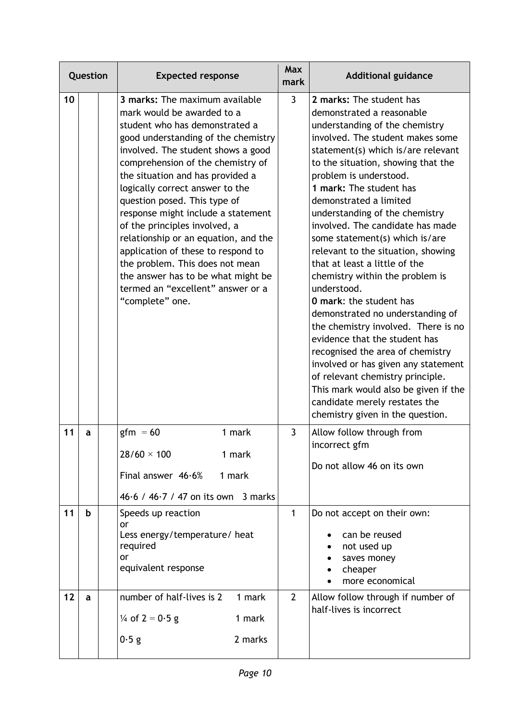| Question |             | <b>Expected response</b>                                                                                                                                                                                                                                                                                                                                                                                                                                                                                                                                                                                      |                | <b>Additional guidance</b>                                                                                                                                                                                                                                                                                                                                                                                                                                                                                                                                                                                                                                                                                                                                                                                                                                                                        |
|----------|-------------|---------------------------------------------------------------------------------------------------------------------------------------------------------------------------------------------------------------------------------------------------------------------------------------------------------------------------------------------------------------------------------------------------------------------------------------------------------------------------------------------------------------------------------------------------------------------------------------------------------------|----------------|---------------------------------------------------------------------------------------------------------------------------------------------------------------------------------------------------------------------------------------------------------------------------------------------------------------------------------------------------------------------------------------------------------------------------------------------------------------------------------------------------------------------------------------------------------------------------------------------------------------------------------------------------------------------------------------------------------------------------------------------------------------------------------------------------------------------------------------------------------------------------------------------------|
| 10       |             | 3 marks: The maximum available<br>mark would be awarded to a<br>student who has demonstrated a<br>good understanding of the chemistry<br>involved. The student shows a good<br>comprehension of the chemistry of<br>the situation and has provided a<br>logically correct answer to the<br>question posed. This type of<br>response might include a statement<br>of the principles involved, a<br>relationship or an equation, and the<br>application of these to respond to<br>the problem. This does not mean<br>the answer has to be what might be<br>termed an "excellent" answer or a<br>"complete" one. | $\overline{3}$ | 2 marks: The student has<br>demonstrated a reasonable<br>understanding of the chemistry<br>involved. The student makes some<br>statement(s) which is/are relevant<br>to the situation, showing that the<br>problem is understood.<br>1 mark: The student has<br>demonstrated a limited<br>understanding of the chemistry<br>involved. The candidate has made<br>some statement(s) which is/are<br>relevant to the situation, showing<br>that at least a little of the<br>chemistry within the problem is<br>understood.<br><b>0 mark:</b> the student has<br>demonstrated no understanding of<br>the chemistry involved. There is no<br>evidence that the student has<br>recognised the area of chemistry<br>involved or has given any statement<br>of relevant chemistry principle.<br>This mark would also be given if the<br>candidate merely restates the<br>chemistry given in the question. |
| 11       | a           | 1 mark<br>$gfm = 60$<br>$28/60 \times 100$<br>1 mark<br>Final answer $46.6%$<br>1 mark<br>$46.6 / 46.7 / 47$ on its own 3 marks                                                                                                                                                                                                                                                                                                                                                                                                                                                                               | $\mathbf{3}$   | Allow follow through from<br>incorrect gfm<br>Do not allow 46 on its own                                                                                                                                                                                                                                                                                                                                                                                                                                                                                                                                                                                                                                                                                                                                                                                                                          |
| 11       | $\mathbf b$ | Speeds up reaction<br><b>or</b><br>Less energy/temperature/ heat<br>required<br>or<br>equivalent response                                                                                                                                                                                                                                                                                                                                                                                                                                                                                                     | $\mathbf{1}$   | Do not accept on their own:<br>can be reused<br>not used up<br>saves money<br>$\bullet$<br>cheaper<br>more economical                                                                                                                                                                                                                                                                                                                                                                                                                                                                                                                                                                                                                                                                                                                                                                             |
| 12       | a           | number of half-lives is 2<br>1 mark<br>$\frac{1}{4}$ of 2 = 0.5 g<br>1 mark<br>0.5g<br>2 marks                                                                                                                                                                                                                                                                                                                                                                                                                                                                                                                | $\overline{2}$ | Allow follow through if number of<br>half-lives is incorrect                                                                                                                                                                                                                                                                                                                                                                                                                                                                                                                                                                                                                                                                                                                                                                                                                                      |